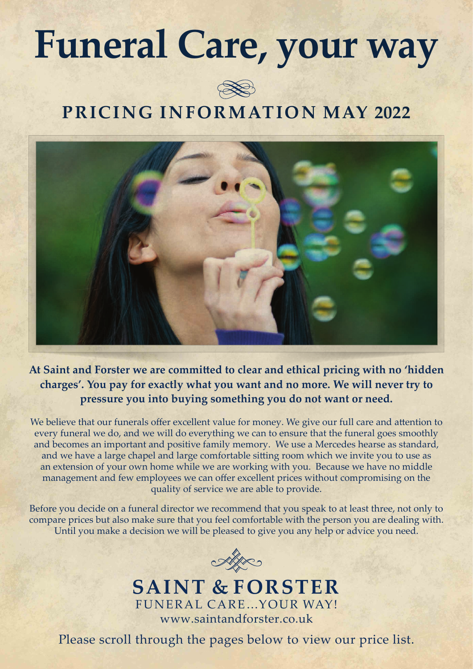# **Funeral Care, your way**



## **PRICING INFORMATION MAY 2022**



**At Saint and Forster we are committed to clear and ethical pricing with no 'hidden charges'. You pay for exactly what you want and no more. We will never try to pressure you into buying something you do not want or need.**

We believe that our funerals offer excellent value for money. We give our full care and attention to every funeral we do, and we will do everything we can to ensure that the funeral goes smoothly and becomes an important and positive family memory. We use a Mercedes hearse as standard, and we have a large chapel and large comfortable sitting room which we invite you to use as an extension of your own home while we are working with you. Because we have no middle management and few employees we can offer excellent prices without compromising on the quality of service we are able to provide.

Before you decide on a funeral director we recommend that you speak to at least three, not only to compare prices but also make sure that you feel comfortable with the person you are dealing with. Until you make a decision we will be pleased to give you any help or advice you need.



### **SAINT & FORSTER** FUNERAL CARE…YOUR WAY! www.saintandforster.co.uk

Please scroll through the pages below to view our price list.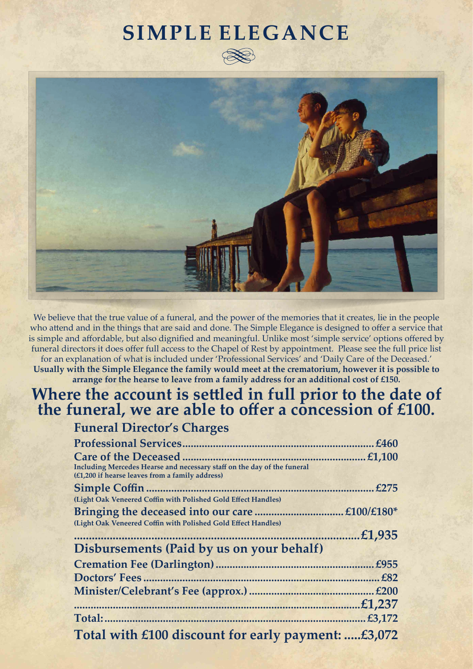## **SIMPLE ELEGANCE**





We believe that the true value of a funeral, and the power of the memories that it creates, lie in the people who attend and in the things that are said and done. The Simple Elegance is designed to offer a service that is simple and affordable, but also dignified and meaningful. Unlike most 'simple service' options offered by funeral directors it does offer full access to the Chapel of Rest by appointment. Please see the full price list for an explanation of what is included under 'Professional Services' and 'Daily Care of the Deceased.' **Usually with the Simple Elegance the family would meet at the crematorium, however it is possible to arrange for the hearse to leave from a family address for an additional cost of £150.**

## **Where the account is settled in full prior to the date of the funeral, we are able to offer a concession of £100.**

### **Funeral Director's Charges**

| <b>Professional Services</b>                                                                                               | £460           |
|----------------------------------------------------------------------------------------------------------------------------|----------------|
| <b>Care of the Deceased</b>                                                                                                | £1,100         |
| Including Mercedes Hearse and necessary staff on the day of the funeral<br>(£1,200 if hearse leaves from a family address) |                |
| Simple Coffin.                                                                                                             | £275           |
| (Light Oak Veneered Coffin with Polished Gold Effect Handles)                                                              |                |
|                                                                                                                            | £100/£180*     |
| (Light Oak Veneered Coffin with Polished Gold Effect Handles)                                                              |                |
|                                                                                                                            | £1,935         |
| Disbursements (Paid by us on your behalf)                                                                                  |                |
|                                                                                                                            | . <i>£</i> 955 |
|                                                                                                                            | £82            |
|                                                                                                                            | £200           |
|                                                                                                                            | £1,237         |
| Total:                                                                                                                     | £3,172         |
| Total with £100 discount for early payment: £3,072                                                                         |                |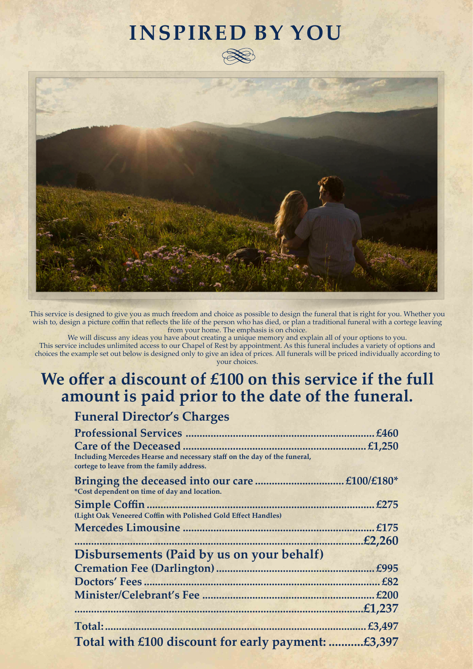## **INSPIRED BY YOU**





This service is designed to give you as much freedom and choice as possible to design the funeral that is right for you. Whether you wish to, design a picture coffin that reflects the life of the person who has died, or plan a traditional funeral with a cortege leaving from your home. The emphasis is on choice.

We will discuss any ideas you have about creating a unique memory and explain all of your options to you. This service includes unlimited access to our Chapel of Rest by appointment. As this funeral includes a variety of options and choices the example set out below is designed only to give an idea of prices. All funerals will be priced individually according to your choices.

## **We offer a discount of £100 on this service if the full amount is paid prior to the date of the funeral.**

### **Funeral Director's Charges**

|                                                                                                                       | £460       |
|-----------------------------------------------------------------------------------------------------------------------|------------|
| <b>Care of the Deceased</b>                                                                                           | £1,250     |
| Including Mercedes Hearse and necessary staff on the day of the funeral,<br>cortege to leave from the family address. |            |
|                                                                                                                       | £100/£180* |
| *Cost dependent on time of day and location.                                                                          |            |
| <b>Simple Coffin</b>                                                                                                  | £275       |
| (Light Oak Veneered Coffin with Polished Gold Effect Handles)                                                         |            |
|                                                                                                                       | £175       |
|                                                                                                                       | £2,260     |
| Disbursements (Paid by us on your behalf)                                                                             |            |
|                                                                                                                       | £995       |
| Doctors' Fees                                                                                                         | £82        |
|                                                                                                                       | £200       |
|                                                                                                                       | £1,237.    |
| Total:                                                                                                                | £3,497     |
| Total with £100 discount for early payment:                                                                           | £3,397     |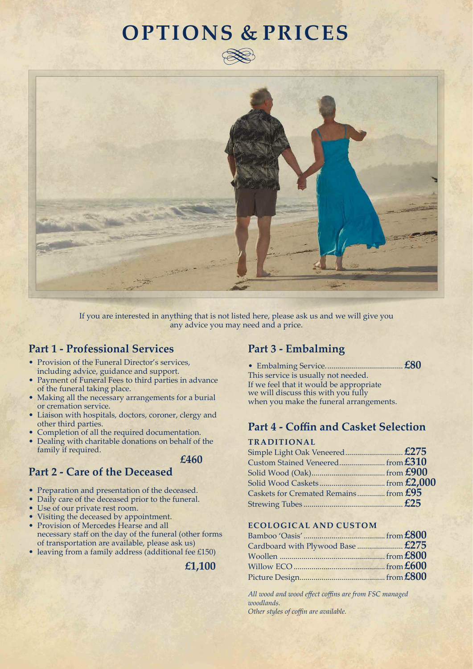## **OPTIONS & PRICES**





If you are interested in anything that is not listed here, please ask us and we will give you any advice you may need and a price.

#### **Part 1 - Professional Services**

- Provision of the Funeral Director's services, including advice, guidance and support.
- Payment of Funeral Fees to third parties in advance of the funeral taking place.
- Making all the necessary arrangements for a burial or cremation service.
- Liaison with hospitals, doctors, coroner, clergy and other third parties.
- Completion of all the required documentation.
- Dealing with charitable donations on behalf of the family if required.
	- *£460*

#### **Part 2 - Care of the Deceased**

- Preparation and presentation of the deceased.
- Daily care of the deceased prior to the funeral.
- Use of our private rest room.
- Visiting the deceased by appointment.
- Provision of Mercedes Hearse and all necessary staff on the day of the funeral (other forms of transportation are available, please ask us)
- leaving from a family address (additional fee £150)

**£1,100**

#### **Part 3 - Embalming**

• Embalming Service....................................... **£80** This service is usually not needed. If we feel that it would be appropriate we will discuss this with you fully when you make the funeral arrangements.

#### **Part 4 - Coffin and Casket Selection**

#### **TRADITIONAL**

| Caskets for Cremated Remains from $£95$ |  |
|-----------------------------------------|--|
|                                         |  |
|                                         |  |

#### **ECOLOGICAL AND CUSTOM**

| Cardboard with Plywood Base  £275 |  |
|-----------------------------------|--|
|                                   |  |
|                                   |  |
|                                   |  |

*All wood and wood effect coffins are from FSC managed woodlands. Other styles of coffin are available.*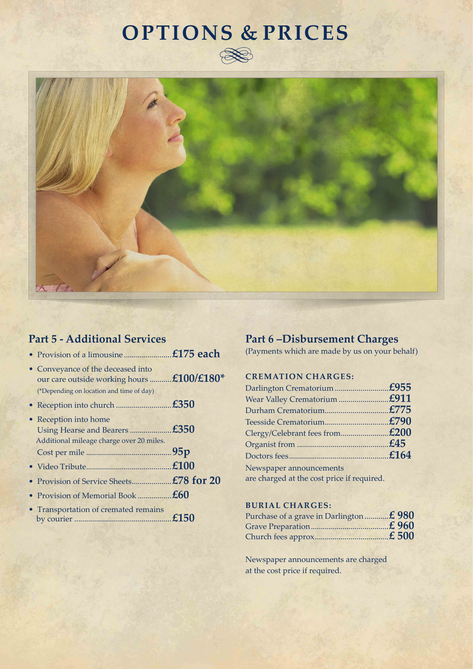## **OPTIONS & PRICES**





### **Part 5 - Additional Services**

| • Conveyance of the deceased into<br>our care outside working hours £100/£180* |                                                                                      |
|--------------------------------------------------------------------------------|--------------------------------------------------------------------------------------|
|                                                                                |                                                                                      |
| • Reception into home                                                          |                                                                                      |
|                                                                                |                                                                                      |
|                                                                                |                                                                                      |
|                                                                                |                                                                                      |
| • Provision of Memorial Book $\pounds 60$                                      |                                                                                      |
| • Transportation of cremated remains                                           |                                                                                      |
|                                                                                | (*Depending on location and time of day)<br>Additional mileage charge over 20 miles. |

### **Part 6 –Disbursement Charges**

(Payments which are made by us on your behalf)

#### **CREMATION CHARGES:**

| are charged at the cost price if required. |
|--------------------------------------------|

#### **BURIAL CHARGES:**

| Purchase of a grave in Darlington  £980 |  |
|-----------------------------------------|--|
|                                         |  |
|                                         |  |

Newspaper announcements are charged at the cost price if required.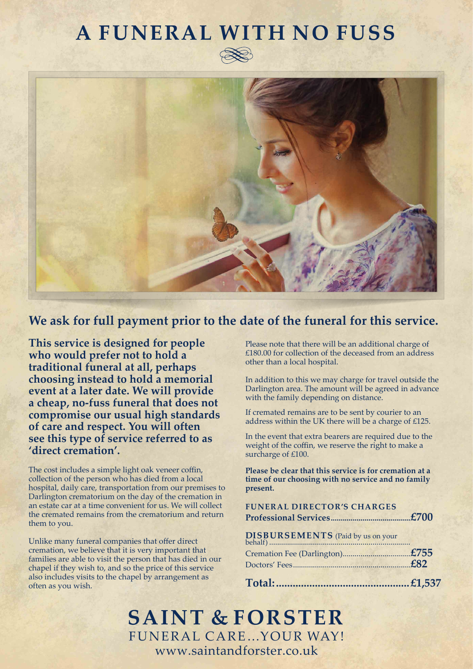## **A FUNERAL WITH NO FUSS**





### **We ask for full payment prior to the date of the funeral for this service.**

**This service is designed for people who would prefer not to hold a traditional funeral at all, perhaps choosing instead to hold a memorial event at a later date. We will provide a cheap, no-fuss funeral that does not compromise our usual high standards of care and respect. You will often see this type of service referred to as 'direct cremation'.** 

The cost includes a simple light oak veneer coffin, collection of the person who has died from a local hospital, daily care, transportation from our premises to Darlington crematorium on the day of the cremation in an estate car at a time convenient for us. We will collect the cremated remains from the crematorium and return them to you.

Unlike many funeral companies that offer direct cremation, we believe that it is very important that families are able to visit the person that has died in our chapel if they wish to, and so the price of this service also includes visits to the chapel by arrangement as often as you wish.

Please note that there will be an additional charge of £180.00 for collection of the deceased from an address other than a local hospital.

In addition to this we may charge for travel outside the Darlington area. The amount will be agreed in advance with the family depending on distance.

If cremated remains are to be sent by courier to an address within the UK there will be a charge of £125.

In the event that extra bearers are required due to the weight of the coffin, we reserve the right to make a surcharge of £100.

**Please be clear that this service is for cremation at a time of our choosing with no service and no family present.**

| <b>FUNERAL DIRECTOR'S CHARGES</b> |  |
|-----------------------------------|--|
|                                   |  |
|                                   |  |
|                                   |  |

**SAINT & FORSTER** FUNERAL CARE…YOUR WAY! www.saintandforster.co.uk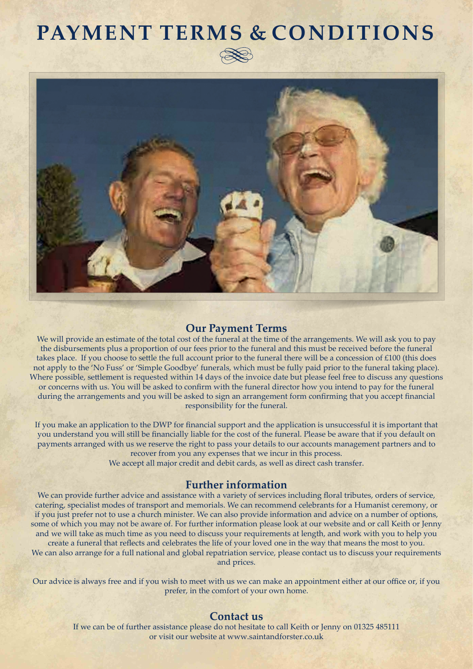## **PAYMENT TERMS & CONDITIONS**



#### **Our Payment Terms**

We will provide an estimate of the total cost of the funeral at the time of the arrangements. We will ask you to pay the disbursements plus a proportion of our fees prior to the funeral and this must be received before the funeral takes place. If you choose to settle the full account prior to the funeral there will be a concession of  $\text{\pounds}100$  (this does not apply to the 'No Fuss' or 'Simple Goodbye' funerals, which must be fully paid prior to the funeral taking place). Where possible, settlement is requested within 14 days of the invoice date but please feel free to discuss any questions or concerns with us. You will be asked to confirm with the funeral director how you intend to pay for the funeral during the arrangements and you will be asked to sign an arrangement form confirming that you accept financial responsibility for the funeral.

If you make an application to the DWP for financial support and the application is unsuccessful it is important that you understand you will still be financially liable for the cost of the funeral. Please be aware that if you default on payments arranged with us we reserve the right to pass your details to our accounts management partners and to recover from you any expenses that we incur in this process.

We accept all major credit and debit cards, as well as direct cash transfer.

#### **Further information**

We can provide further advice and assistance with a variety of services including floral tributes, orders of service, catering, specialist modes of transport and memorials. We can recommend celebrants for a Humanist ceremony, or if you just prefer not to use a church minister. We can also provide information and advice on a number of options, some of which you may not be aware of. For further information please look at our website and or call Keith or Jenny and we will take as much time as you need to discuss your requirements at length, and work with you to help you create a funeral that reflects and celebrates the life of your loved one in the way that means the most to you. We can also arrange for a full national and global repatriation service, please contact us to discuss your requirements and prices.

Our advice is always free and if you wish to meet with us we can make an appointment either at our office or, if you prefer, in the comfort of your own home.

#### **Contact us**

If we can be of further assistance please do not hesitate to call Keith or Jenny on 01325 485111 or visit our website at www.saintandforster.co.uk